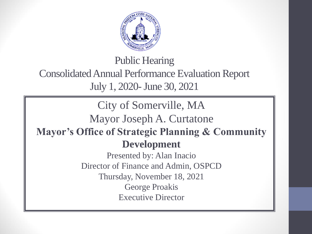

Public Hearing Consolidated Annual Performance Evaluation Report July 1, 2020-June 30, 2021

City of Somerville, MA Mayor Joseph A. Curtatone **Mayor's Office of Strategic Planning & Community Development** Presented by: Alan Inacio Director of Finance and Admin, OSPCD Thursday, November 18, 2021 George Proakis Executive Director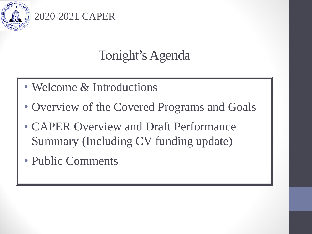

# Tonight's Agenda

- Welcome & Introductions
- Overview of the Covered Programs and Goals
- CAPER Overview and Draft Performance Summary (Including CV funding update)
- Public Comments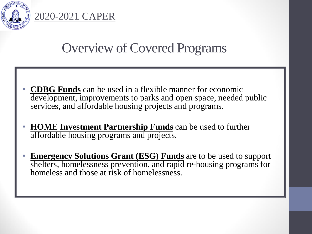

## Overview of Covered Programs

- **CDBG Funds** can be used in a flexible manner for economic development, improvements to parks and open space, needed public services, and affordable housing projects and programs.
- **HOME Investment Partnership Funds** can be used to further affordable housing programs and projects.
- **Emergency Solutions Grant (ESG) Funds** are to be used to support shelters, homelessness prevention, and rapid re-housing programs for homeless and those at risk of homelessness.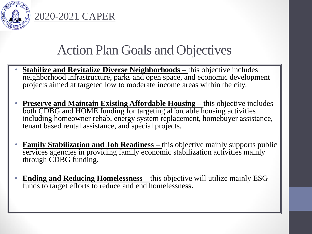

## Action Plan Goals and Objectives

- **Stabilize and Revitalize Diverse Neighborhoods –** this objective includes neighborhood infrastructure, parks and open space, and economic development projects aimed at targeted low to moderate income areas within the city.
- **Preserve and Maintain Existing Affordable Housing –** this objective includes both CDBG and HOME funding for targeting affordable housing activities including homeowner rehab, energy system replacement, homebuyer assistance, tenant based rental assistance, and special projects.
- **Family Stabilization and Job Readiness** this objective mainly supports public services agencies in providing family economic stabilization activities mainly through CDBG funding.
- **Ending and Reducing Homelessness –** this objective will utilize mainly ESG funds to target efforts to reduce and end homelessness.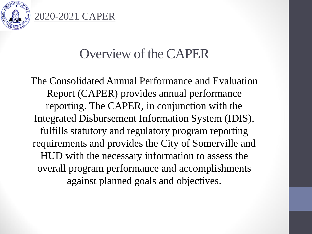

## Overview of the CAPER

The Consolidated Annual Performance and Evaluation Report (CAPER) provides annual performance reporting. The CAPER, in conjunction with the Integrated Disbursement Information System (IDIS), fulfills statutory and regulatory program reporting requirements and provides the City of Somerville and HUD with the necessary information to assess the overall program performance and accomplishments against planned goals and objectives.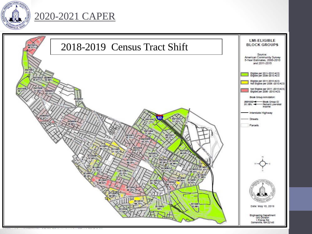

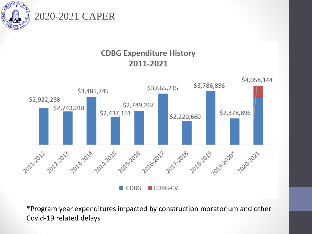



#### **CDBG Expenditure History** 2011-2021



\*Program year expenditures impacted by construction moratorium and other Covid-19 related delays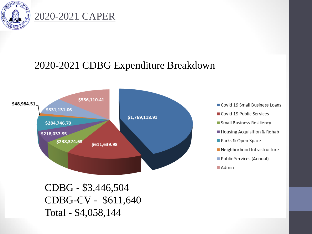

## 2020-2021 CDBG Expenditure Breakdown



CDBG - \$3,446,504 CDBG-CV - \$611,640 Total - \$4,058,144

- Covid 19 Small Business Loans
- Covid 19 Public Services
- Small Business Resiliency
- Housing Acquisition & Rehab
- Parks & Open Space
- Neighborhood Infrastructure
- Public Services (Annual)
- $Admin$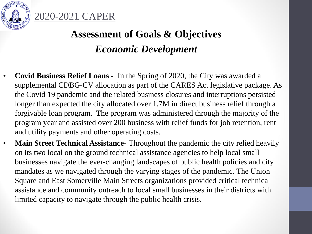

## **Assessment of Goals & Objectives**  *Economic Development*

- **Covid Business Relief Loans -** In the Spring of 2020, the City was awarded a supplemental CDBG-CV allocation as part of the CARES Act legislative package. As the Covid 19 pandemic and the related business closures and interruptions persisted longer than expected the city allocated over 1.7M in direct business relief through a forgivable loan program. The program was administered through the majority of the program year and assisted over 200 business with relief funds for job retention, rent and utility payments and other operating costs.
- **Main Street Technical Assistance-** Throughout the pandemic the city relied heavily on its two local on the ground technical assistance agencies to help local small businesses navigate the ever-changing landscapes of public health policies and city mandates as we navigated through the varying stages of the pandemic. The Union Square and East Somerville Main Streets organizations provided critical technical assistance and community outreach to local small businesses in their districts with limited capacity to navigate through the public health crisis.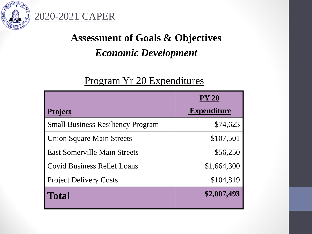

## **Assessment of Goals & Objectives**  *Economic Development*

### Program Yr 20 Expenditures

|                                          | <b>PY 20</b>       |
|------------------------------------------|--------------------|
| <b>Project</b>                           | <b>Expenditure</b> |
| <b>Small Business Resiliency Program</b> | \$74,623           |
| <b>Union Square Main Streets</b>         | \$107,501          |
| <b>East Somerville Main Streets</b>      | \$56,250           |
| <b>Covid Business Relief Loans</b>       | \$1,664,300        |
| <b>Project Delivery Costs</b>            | \$104,819          |
| <b>Total</b>                             | \$2,007,493        |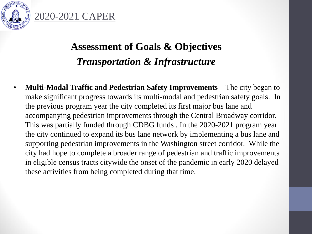

## **Assessment of Goals & Objectives**  *Transportation & Infrastructure*

• **Multi-Modal Traffic and Pedestrian Safety Improvements** – The city began to make significant progress towards its multi-modal and pedestrian safety goals. In the previous program year the city completed its first major bus lane and accompanying pedestrian improvements through the Central Broadway corridor. This was partially funded through CDBG funds . In the 2020-2021 program year the city continued to expand its bus lane network by implementing a bus lane and supporting pedestrian improvements in the Washington street corridor. While the city had hope to complete a broader range of pedestrian and traffic improvements in eligible census tracts citywide the onset of the pandemic in early 2020 delayed these activities from being completed during that time.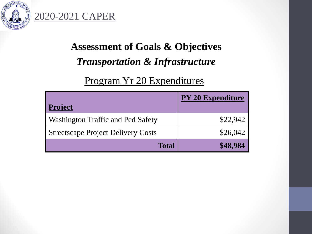

## **Assessment of Goals & Objectives**  *Transportation & Infrastructure*

## Program Yr 20 Expenditures

| <b>Project</b>                            | <b>PY 20 Expenditure</b> |
|-------------------------------------------|--------------------------|
| Washington Traffic and Ped Safety         | \$22,942                 |
| <b>Streetscape Project Delivery Costs</b> | \$26,042                 |
| <b>Total</b>                              |                          |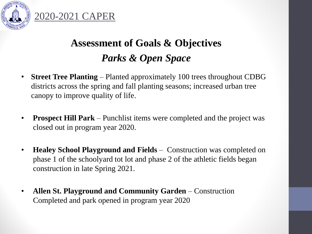

**Assessment of Goals & Objectives**  *Parks & Open Space*

- **Street Tree Planting** Planted approximately 100 trees throughout CDBG districts across the spring and fall planting seasons; increased urban tree canopy to improve quality of life.
- **Prospect Hill Park** Punchlist items were completed and the project was closed out in program year 2020.
- **Healey School Playground and Fields** Construction was completed on phase 1 of the schoolyard tot lot and phase 2 of the athletic fields began construction in late Spring 2021.
- **Allen St. Playground and Community Garden**  Construction Completed and park opened in program year 2020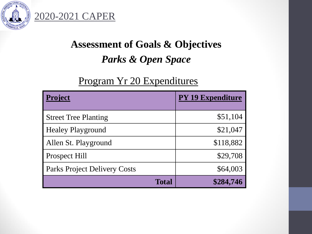

## **Assessment of Goals & Objectives**  *Parks & Open Space*

## Program Yr 20 Expenditures

| <b>Project</b>                      | <b>PY 19 Expenditure</b> |  |
|-------------------------------------|--------------------------|--|
|                                     |                          |  |
| <b>Street Tree Planting</b>         | \$51,104                 |  |
| <b>Healey Playground</b>            | \$21,047                 |  |
| Allen St. Playground                | \$118,882                |  |
| Prospect Hill                       | \$29,708                 |  |
| <b>Parks Project Delivery Costs</b> | \$64,003                 |  |
| <b>Total</b>                        | \$284,746                |  |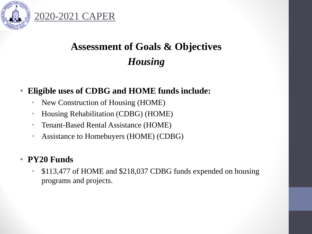

## **Assessment of Goals & Objectives**  *Housing*

#### • **Eligible uses of CDBG and HOME funds include:**

• New Construction of Housing (HOME)

2020-2021 CAPER

- Housing Rehabilitation (CDBG) (HOME)
- Tenant-Based Rental Assistance (HOME)
- Assistance to Homebuyers (HOME) (CDBG)

#### • **PY20 Funds**

• \$113,477 of HOME and \$218,037 CDBG funds expended on housing programs and projects.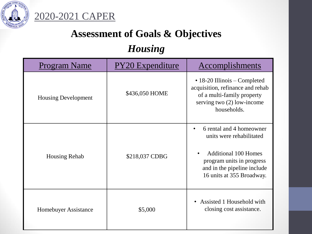

## **Assessment of Goals & Objectives**

## *Housing*

| <b>Program Name</b>        | <b>PY20</b> Expenditure | Accomplishments                                                                                                                                                              |
|----------------------------|-------------------------|------------------------------------------------------------------------------------------------------------------------------------------------------------------------------|
| <b>Housing Development</b> | \$436,050 HOME          | $\cdot$ 18-20 Illinois – Completed<br>acquisition, refinance and rehab<br>of a multi-family property<br>serving two (2) low-income<br>households.                            |
| <b>Housing Rehab</b>       | \$218,037 CDBG          | 6 rental and 4 homeowner<br>units were rehabilitated<br><b>Additional 100 Homes</b><br>program units in progress<br>and in the pipeline include<br>16 units at 355 Broadway. |
| Homebuyer Assistance       | \$5,000                 | Assisted 1 Household with<br>$\bullet$<br>closing cost assistance.                                                                                                           |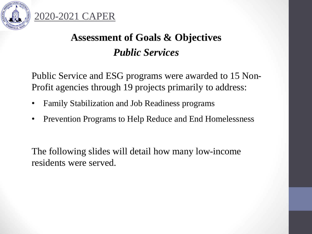



Public Service and ESG programs were awarded to 15 Non-Profit agencies through 19 projects primarily to address:

- Family Stabilization and Job Readiness programs
- Prevention Programs to Help Reduce and End Homelessness

The following slides will detail how many low-income residents were served.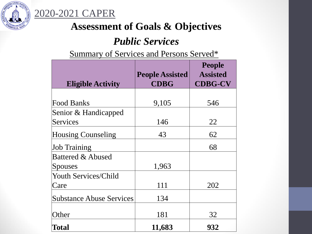

## **Assessment of Goals & Objectives**

#### *Public Services*

Summary of Services and Persons Served\*

| <b>Eligible Activity</b>        | <b>People Assisted</b><br><b>CDBG</b> | <b>People</b><br><b>Assisted</b><br><b>CDBG-CV</b> |
|---------------------------------|---------------------------------------|----------------------------------------------------|
|                                 |                                       |                                                    |
| <b>Food Banks</b>               | 9,105                                 | 546                                                |
| Senior & Handicapped            |                                       |                                                    |
| Services                        | 146                                   | 22                                                 |
| <b>Housing Counseling</b>       | 43                                    | 62                                                 |
| <b>Job Training</b>             |                                       | 68                                                 |
| <b>Battered &amp; Abused</b>    |                                       |                                                    |
| Spouses                         | 1,963                                 |                                                    |
| <b>Youth Services/Child</b>     |                                       |                                                    |
| Care                            | 111                                   | 202                                                |
| <b>Substance Abuse Services</b> | 134                                   |                                                    |
| Other                           | 181                                   | 32                                                 |
| Total                           | 11,683                                | 932                                                |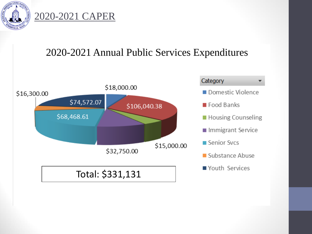

### 2020-2021 Annual Public Services Expenditures

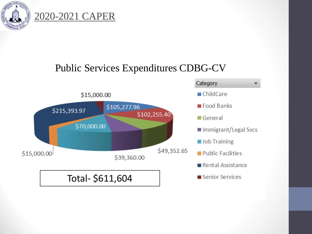

## Public Services Expenditures CDBG-CV

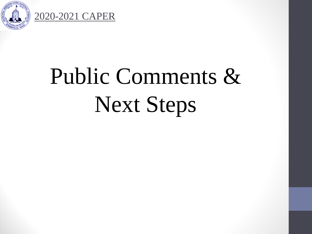

# Public Comments & Next Steps